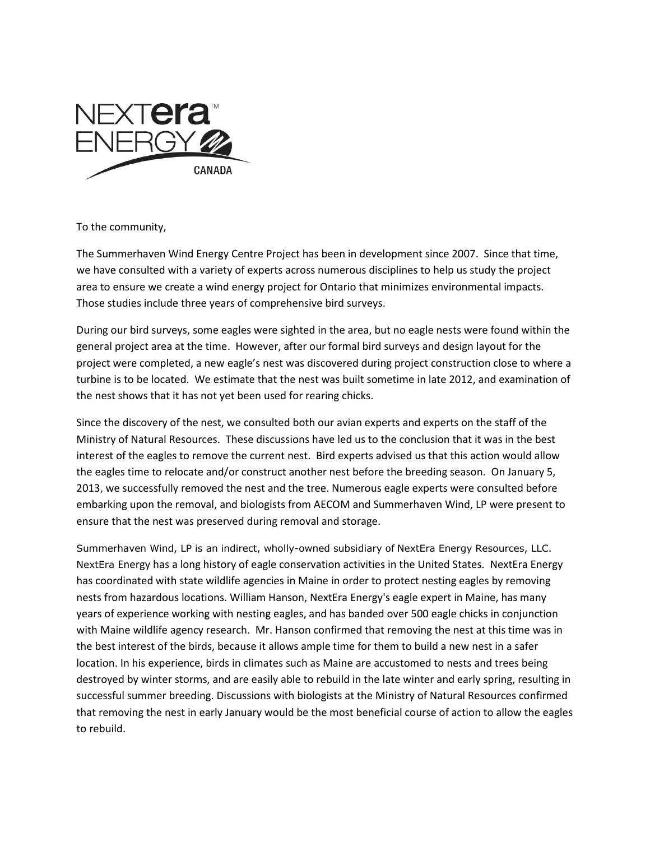

To the community,

The Summerhaven Wind Energy Centre Project has been in development since 2007. Since that time, we have consulted with a variety of experts across numerous disciplines to help us study the project area to ensure we create a wind energy project for Ontario that minimizes environmental impacts. Those studies include three years of comprehensive bird surveys.

During our bird surveys, some eagles were sighted in the area, but no eagle nests were found within the general project area at the time. However, after our formal bird surveys and design layout for the project were completed, a new eagle's nest was discovered during project construction close to where a turbine is to be located. We estimate that the nest was built sometime in late 2012, and examination of the nest shows that it has not yet been used for rearing chicks.

Since the discovery of the nest, we consulted both our avian experts and experts on the staff of the Ministry of Natural Resources. These discussions have led us to the conclusion that it was in the best interest of the eagles to remove the current nest. Bird experts advised us that this action would allow the eagles time to relocate and/or construct another nest before the breeding season. On January 5, 2013, we successfully removed the nest and the tree. Numerous eagle experts were consulted before embarking upon the removal, and biologists from AECOM and Summerhaven Wind, LP were present to ensure that the nest was preserved during removal and storage.

Summerhaven Wind, LP is an indirect, wholly-owned subsidiary of NextEra Energy Resources, LLC. NextEra Energy has a long history of eagle conservation activities in the United States. NextEra Energy has coordinated with state wildlife agencies in Maine in order to protect nesting eagles by removing nests from hazardous locations. William Hanson, NextEra Energy's eagle expert in Maine, has many years of experience working with nesting eagles, and has banded over 500 eagle chicks in conjunction with Maine wildlife agency research. Mr. Hanson confirmed that removing the nest at this time was in the best interest of the birds, because it allows ample time for them to build a new nest in a safer location. In his experience, birds in climates such as Maine are accustomed to nests and trees being destroyed by winter storms, and are easily able to rebuild in the late winter and early spring, resulting in successful summer breeding. Discussions with biologists at the Ministry of Natural Resources confirmed that removing the nest in early January would be the most beneficial course of action to allow the eagles to rebuild.